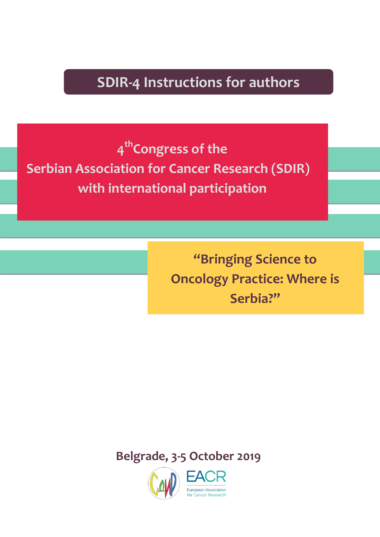# **SDIR-4 Instructions for authors**

**4thCongress of the Serbian Association for Cancer Research (SDIR) with international participation**

> **"Bringing Science to Oncology Practice: Where is Serbia?"**

**Belgrade, 3-5 October 2019** 

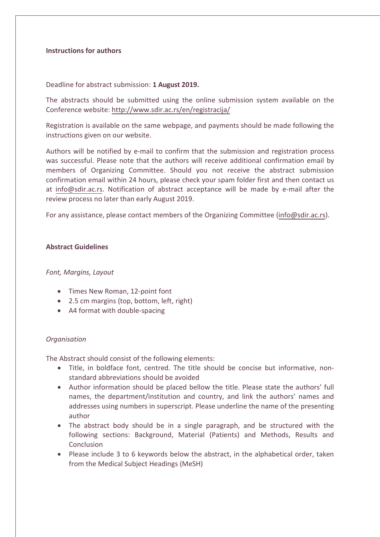#### **Instructions for authors**

Deadline for abstract submission: **1 August 2019.** 

The abstracts should be submitted using the online submission system available on the Conference website: <http://www.sdir.ac.rs/en/registracija/>

Registration is available on the same webpage, and payments should be made following the instructions given on our website.

Authors will be notified by e-mail to confirm that the submission and registration process was successful. Please note that the authors will receive additional confirmation email by members of Organizing Committee. Should you not receive the abstract submission confirmation email within 24 hours, please check your spam folder first and then contact us at [info@sdir.ac.rs.](mailto:info@sdir.ac.rs) Notification of abstract acceptance will be made by e-mail after the review process no later than early August 2019.

For any assistance, please contact members of the Organizing Committee [\(info@sdir.ac.rs\)](mailto:info@sdir.ac.rs).

#### **Abstract Guidelines**

### *Font, Margins, Layout*

- Times New Roman, 12-point font
- 2.5 cm margins (top, bottom, left, right)
- A4 format with double-spacing

### *Organisation*

The Abstract should consist of the following elements:

- Title, in boldface font, centred. The title should be concise but informative, nonstandard abbreviations should be avoided
- Author information should be placed bellow the title. Please state the authors' full names, the department/institution and country, and link the authors' names and addresses using numbers in superscript. Please underline the name of the presenting author
- The abstract body should be in a single paragraph, and be structured with the following sections: Background, Material (Patients) and Methods, Results and **Conclusion**
- Please include 3 to 6 keywords below the abstract, in the alphabetical order, taken from the Medical Subject Headings (MeSH)